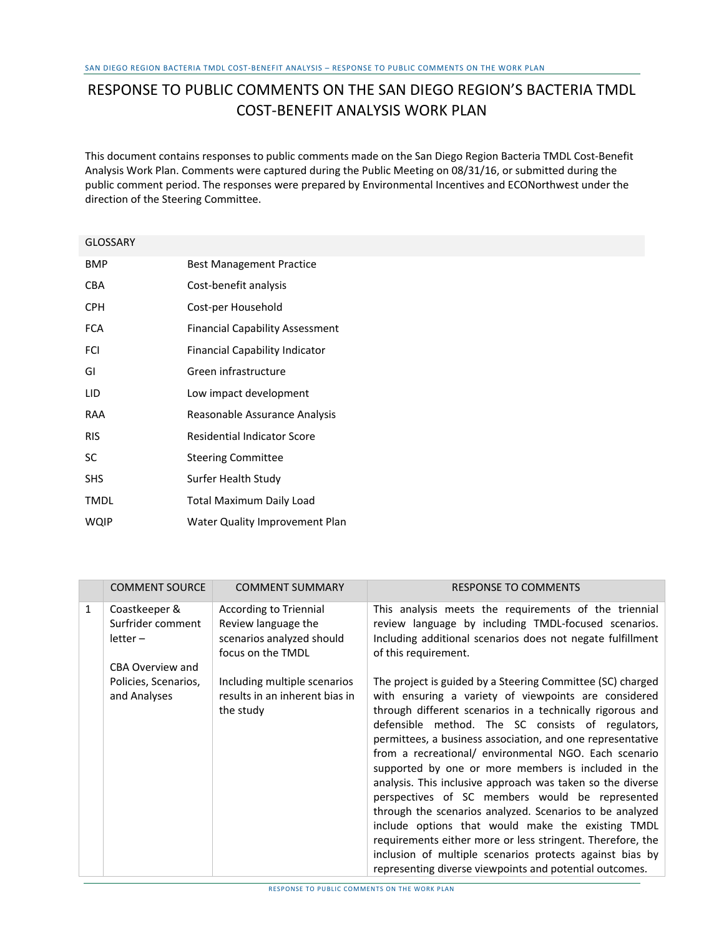## RESPONSE TO PUBLIC COMMENTS ON THE SAN DIEGO REGION'S BACTERIA TMDL COST‐BENEFIT ANALYSIS WORK PLAN

This document contains responses to public comments made on the San Diego Region Bacteria TMDL Cost‐Benefit Analysis Work Plan. Comments were captured during the Public Meeting on 08/31/16, or submitted during the public comment period. The responses were prepared by Environmental Incentives and ECONorthwest under the direction of the Steering Committee.

## GLOSSARY

| <b>BMP</b>  | <b>Best Management Practice</b>        |
|-------------|----------------------------------------|
| <b>CBA</b>  | Cost-benefit analysis                  |
| <b>CPH</b>  | Cost-per Household                     |
| <b>FCA</b>  | <b>Financial Capability Assessment</b> |
| FCI         | Financial Capability Indicator         |
| GI          | Green infrastructure                   |
| LID         | Low impact development                 |
| RAA         | Reasonable Assurance Analysis          |
| RIS         | <b>Residential Indicator Score</b>     |
| SC          | <b>Steering Committee</b>              |
| <b>SHS</b>  | Surfer Health Studv                    |
| <b>TMDL</b> | Total Maximum Daily Load               |
| WQIP        | Water Quality Improvement Plan         |

|              | <b>COMMENT SOURCE</b>                                                | <b>COMMENT SUMMARY</b>                                                                          | <b>RESPONSE TO COMMENTS</b>                                                                                                                                                                                                                                                                                                                                                                                                                                                                                                                                                                                                                                                                                                                                                                                                               |
|--------------|----------------------------------------------------------------------|-------------------------------------------------------------------------------------------------|-------------------------------------------------------------------------------------------------------------------------------------------------------------------------------------------------------------------------------------------------------------------------------------------------------------------------------------------------------------------------------------------------------------------------------------------------------------------------------------------------------------------------------------------------------------------------------------------------------------------------------------------------------------------------------------------------------------------------------------------------------------------------------------------------------------------------------------------|
| $\mathbf{1}$ | Coastkeeper &<br>Surfrider comment<br>$letter -$<br>CBA Overview and | According to Triennial<br>Review language the<br>scenarios analyzed should<br>focus on the TMDL | This analysis meets the requirements of the triennial<br>review language by including TMDL-focused scenarios.<br>Including additional scenarios does not negate fulfillment<br>of this requirement.                                                                                                                                                                                                                                                                                                                                                                                                                                                                                                                                                                                                                                       |
|              | Policies, Scenarios,<br>and Analyses                                 | Including multiple scenarios<br>results in an inherent bias in<br>the study                     | The project is guided by a Steering Committee (SC) charged<br>with ensuring a variety of viewpoints are considered<br>through different scenarios in a technically rigorous and<br>defensible method. The SC consists of regulators,<br>permittees, a business association, and one representative<br>from a recreational/ environmental NGO. Each scenario<br>supported by one or more members is included in the<br>analysis. This inclusive approach was taken so the diverse<br>perspectives of SC members would be represented<br>through the scenarios analyzed. Scenarios to be analyzed<br>include options that would make the existing TMDL<br>requirements either more or less stringent. Therefore, the<br>inclusion of multiple scenarios protects against bias by<br>representing diverse viewpoints and potential outcomes. |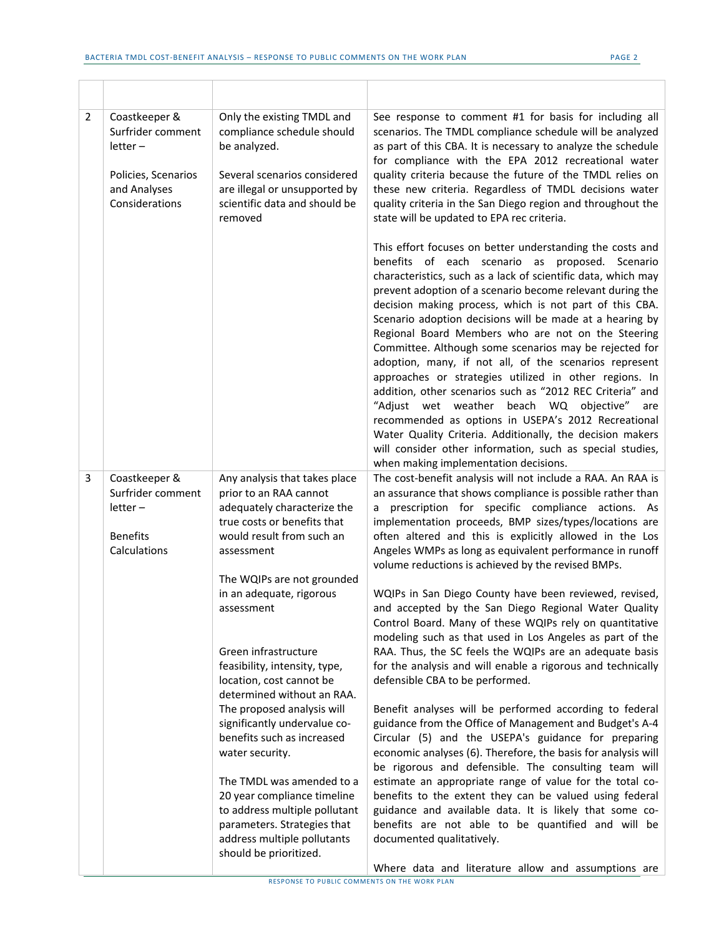ľ

 $\top$ 

| $\overline{2}$ | Coastkeeper &<br>Surfrider comment<br>$letter -$<br>Policies, Scenarios<br>and Analyses<br>Considerations | Only the existing TMDL and<br>compliance schedule should<br>be analyzed.<br>Several scenarios considered<br>are illegal or unsupported by<br>scientific data and should be<br>removed | See response to comment #1 for basis for including all<br>scenarios. The TMDL compliance schedule will be analyzed<br>as part of this CBA. It is necessary to analyze the schedule<br>for compliance with the EPA 2012 recreational water<br>quality criteria because the future of the TMDL relies on<br>these new criteria. Regardless of TMDL decisions water<br>quality criteria in the San Diego region and throughout the<br>state will be updated to EPA rec criteria.                                                                                                                                                                                                                                                                                                                                                                                                                                                                  |
|----------------|-----------------------------------------------------------------------------------------------------------|---------------------------------------------------------------------------------------------------------------------------------------------------------------------------------------|------------------------------------------------------------------------------------------------------------------------------------------------------------------------------------------------------------------------------------------------------------------------------------------------------------------------------------------------------------------------------------------------------------------------------------------------------------------------------------------------------------------------------------------------------------------------------------------------------------------------------------------------------------------------------------------------------------------------------------------------------------------------------------------------------------------------------------------------------------------------------------------------------------------------------------------------|
|                |                                                                                                           |                                                                                                                                                                                       | This effort focuses on better understanding the costs and<br>benefits of each scenario as proposed. Scenario<br>characteristics, such as a lack of scientific data, which may<br>prevent adoption of a scenario become relevant during the<br>decision making process, which is not part of this CBA.<br>Scenario adoption decisions will be made at a hearing by<br>Regional Board Members who are not on the Steering<br>Committee. Although some scenarios may be rejected for<br>adoption, many, if not all, of the scenarios represent<br>approaches or strategies utilized in other regions. In<br>addition, other scenarios such as "2012 REC Criteria" and<br>"Adjust wet weather beach WQ objective"<br>are<br>recommended as options in USEPA's 2012 Recreational<br>Water Quality Criteria. Additionally, the decision makers<br>will consider other information, such as special studies,<br>when making implementation decisions. |
| 3              | Coastkeeper &                                                                                             | Any analysis that takes place                                                                                                                                                         | The cost-benefit analysis will not include a RAA. An RAA is                                                                                                                                                                                                                                                                                                                                                                                                                                                                                                                                                                                                                                                                                                                                                                                                                                                                                    |
|                | Surfrider comment<br>$letter -$                                                                           | prior to an RAA cannot<br>adequately characterize the                                                                                                                                 | an assurance that shows compliance is possible rather than<br>prescription for specific compliance actions. As<br>a                                                                                                                                                                                                                                                                                                                                                                                                                                                                                                                                                                                                                                                                                                                                                                                                                            |
|                | <b>Benefits</b><br>Calculations                                                                           | true costs or benefits that<br>would result from such an<br>assessment                                                                                                                | implementation proceeds, BMP sizes/types/locations are<br>often altered and this is explicitly allowed in the Los<br>Angeles WMPs as long as equivalent performance in runoff<br>volume reductions is achieved by the revised BMPs.                                                                                                                                                                                                                                                                                                                                                                                                                                                                                                                                                                                                                                                                                                            |
|                |                                                                                                           | The WQIPs are not grounded                                                                                                                                                            |                                                                                                                                                                                                                                                                                                                                                                                                                                                                                                                                                                                                                                                                                                                                                                                                                                                                                                                                                |
|                |                                                                                                           | in an adequate, rigorous<br>assessment<br>Green infrastructure<br>feasibility, intensity, type,                                                                                       | WQIPs in San Diego County have been reviewed, revised,<br>and accepted by the San Diego Regional Water Quality<br>Control Board. Many of these WQIPs rely on quantitative<br>modeling such as that used in Los Angeles as part of the<br>RAA. Thus, the SC feels the WQIPs are an adequate basis<br>for the analysis and will enable a rigorous and technically                                                                                                                                                                                                                                                                                                                                                                                                                                                                                                                                                                                |
|                |                                                                                                           | location, cost cannot be                                                                                                                                                              | defensible CBA to be performed.                                                                                                                                                                                                                                                                                                                                                                                                                                                                                                                                                                                                                                                                                                                                                                                                                                                                                                                |
|                |                                                                                                           | determined without an RAA.<br>The proposed analysis will<br>significantly undervalue co-<br>benefits such as increased                                                                | Benefit analyses will be performed according to federal<br>guidance from the Office of Management and Budget's A-4<br>Circular (5) and the USEPA's guidance for preparing                                                                                                                                                                                                                                                                                                                                                                                                                                                                                                                                                                                                                                                                                                                                                                      |
|                |                                                                                                           | water security.                                                                                                                                                                       | economic analyses (6). Therefore, the basis for analysis will<br>be rigorous and defensible. The consulting team will                                                                                                                                                                                                                                                                                                                                                                                                                                                                                                                                                                                                                                                                                                                                                                                                                          |
|                |                                                                                                           | The TMDL was amended to a<br>20 year compliance timeline<br>to address multiple pollutant                                                                                             | estimate an appropriate range of value for the total co-<br>benefits to the extent they can be valued using federal<br>guidance and available data. It is likely that some co-                                                                                                                                                                                                                                                                                                                                                                                                                                                                                                                                                                                                                                                                                                                                                                 |
|                |                                                                                                           | parameters. Strategies that<br>address multiple pollutants                                                                                                                            | benefits are not able to be quantified and will be<br>documented qualitatively.                                                                                                                                                                                                                                                                                                                                                                                                                                                                                                                                                                                                                                                                                                                                                                                                                                                                |
|                |                                                                                                           | should be prioritized.                                                                                                                                                                | Where data and literature allow and assumptions are                                                                                                                                                                                                                                                                                                                                                                                                                                                                                                                                                                                                                                                                                                                                                                                                                                                                                            |
|                |                                                                                                           |                                                                                                                                                                                       |                                                                                                                                                                                                                                                                                                                                                                                                                                                                                                                                                                                                                                                                                                                                                                                                                                                                                                                                                |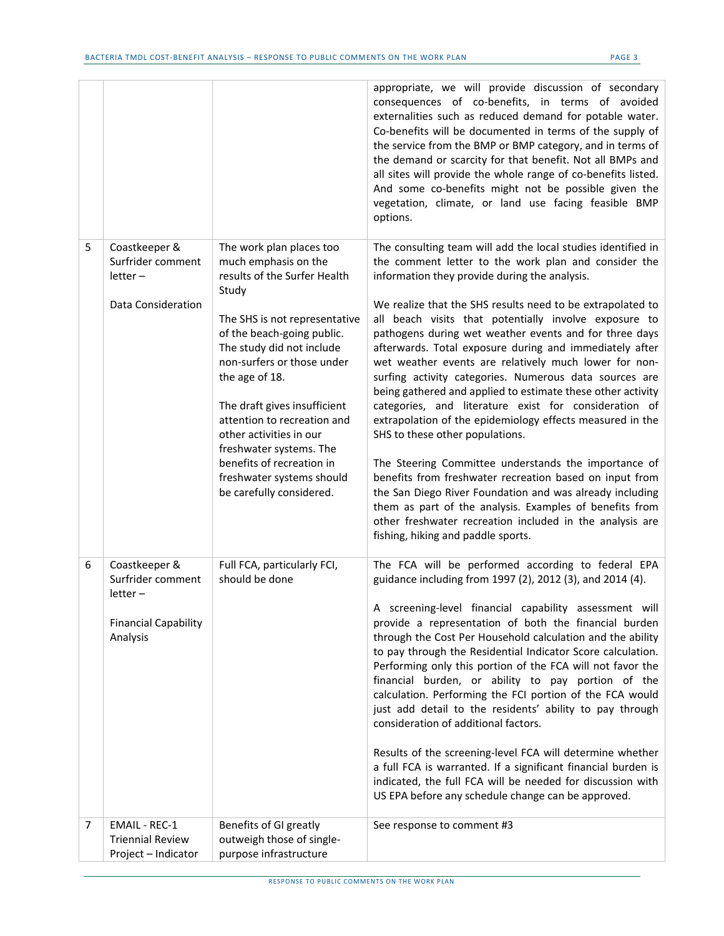|   |                                                                                             |                                                                                                                                                                                                                                                                                                                                                                                                                                                  | appropriate, we will provide discussion of secondary<br>consequences of co-benefits, in terms of avoided<br>externalities such as reduced demand for potable water.<br>Co-benefits will be documented in terms of the supply of<br>the service from the BMP or BMP category, and in terms of<br>the demand or scarcity for that benefit. Not all BMPs and<br>all sites will provide the whole range of co-benefits listed.<br>And some co-benefits might not be possible given the<br>vegetation, climate, or land use facing feasible BMP<br>options.                                                                                                                                                                                                                                                                                                                                                                                                                                                                                                                                                   |
|---|---------------------------------------------------------------------------------------------|--------------------------------------------------------------------------------------------------------------------------------------------------------------------------------------------------------------------------------------------------------------------------------------------------------------------------------------------------------------------------------------------------------------------------------------------------|----------------------------------------------------------------------------------------------------------------------------------------------------------------------------------------------------------------------------------------------------------------------------------------------------------------------------------------------------------------------------------------------------------------------------------------------------------------------------------------------------------------------------------------------------------------------------------------------------------------------------------------------------------------------------------------------------------------------------------------------------------------------------------------------------------------------------------------------------------------------------------------------------------------------------------------------------------------------------------------------------------------------------------------------------------------------------------------------------------|
| 5 | Coastkeeper &<br>Surfrider comment<br>$letter -$<br><b>Data Consideration</b>               | The work plan places too<br>much emphasis on the<br>results of the Surfer Health<br>Study<br>The SHS is not representative<br>of the beach-going public.<br>The study did not include<br>non-surfers or those under<br>the age of 18.<br>The draft gives insufficient<br>attention to recreation and<br>other activities in our<br>freshwater systems. The<br>benefits of recreation in<br>freshwater systems should<br>be carefully considered. | The consulting team will add the local studies identified in<br>the comment letter to the work plan and consider the<br>information they provide during the analysis.<br>We realize that the SHS results need to be extrapolated to<br>all beach visits that potentially involve exposure to<br>pathogens during wet weather events and for three days<br>afterwards. Total exposure during and immediately after<br>wet weather events are relatively much lower for non-<br>surfing activity categories. Numerous data sources are<br>being gathered and applied to estimate these other activity<br>categories, and literature exist for consideration of<br>extrapolation of the epidemiology effects measured in the<br>SHS to these other populations.<br>The Steering Committee understands the importance of<br>benefits from freshwater recreation based on input from<br>the San Diego River Foundation and was already including<br>them as part of the analysis. Examples of benefits from<br>other freshwater recreation included in the analysis are<br>fishing, hiking and paddle sports. |
| 6 | Coastkeeper &<br>Surfrider comment<br>$letter -$<br><b>Financial Capability</b><br>Analysis | Full FCA, particularly FCI,<br>should be done                                                                                                                                                                                                                                                                                                                                                                                                    | The FCA will be performed according to federal EPA<br>guidance including from 1997 (2), 2012 (3), and 2014 (4).<br>A screening-level financial capability assessment will<br>provide a representation of both the financial burden<br>through the Cost Per Household calculation and the ability<br>to pay through the Residential Indicator Score calculation.<br>Performing only this portion of the FCA will not favor the<br>financial burden, or ability to pay portion of the<br>calculation. Performing the FCI portion of the FCA would<br>just add detail to the residents' ability to pay through<br>consideration of additional factors.<br>Results of the screening-level FCA will determine whether<br>a full FCA is warranted. If a significant financial burden is<br>indicated, the full FCA will be needed for discussion with<br>US EPA before any schedule change can be approved.                                                                                                                                                                                                    |
| 7 | <b>EMAIL - REC-1</b><br><b>Triennial Review</b><br>Project - Indicator                      | Benefits of GI greatly<br>outweigh those of single-<br>purpose infrastructure                                                                                                                                                                                                                                                                                                                                                                    | See response to comment #3                                                                                                                                                                                                                                                                                                                                                                                                                                                                                                                                                                                                                                                                                                                                                                                                                                                                                                                                                                                                                                                                               |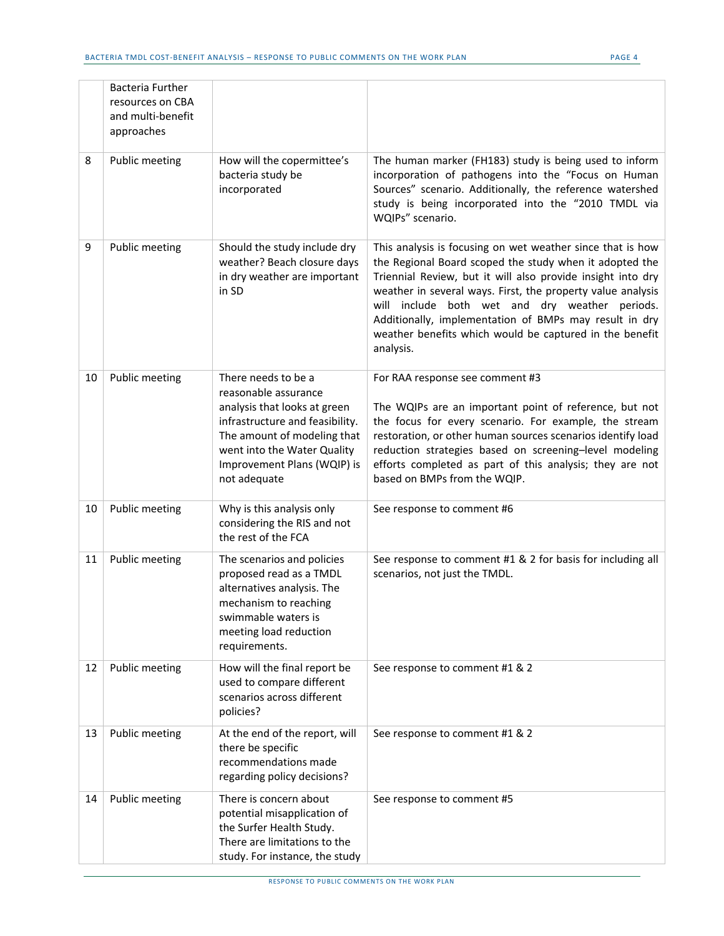|    | Bacteria Further<br>resources on CBA<br>and multi-benefit<br>approaches |                                                                                                                                                                                                                             |                                                                                                                                                                                                                                                                                                                                                                                                                                         |
|----|-------------------------------------------------------------------------|-----------------------------------------------------------------------------------------------------------------------------------------------------------------------------------------------------------------------------|-----------------------------------------------------------------------------------------------------------------------------------------------------------------------------------------------------------------------------------------------------------------------------------------------------------------------------------------------------------------------------------------------------------------------------------------|
| 8  | Public meeting                                                          | How will the copermittee's<br>bacteria study be<br>incorporated                                                                                                                                                             | The human marker (FH183) study is being used to inform<br>incorporation of pathogens into the "Focus on Human<br>Sources" scenario. Additionally, the reference watershed<br>study is being incorporated into the "2010 TMDL via<br>WQIPs" scenario.                                                                                                                                                                                    |
| 9  | Public meeting                                                          | Should the study include dry<br>weather? Beach closure days<br>in dry weather are important<br>in SD                                                                                                                        | This analysis is focusing on wet weather since that is how<br>the Regional Board scoped the study when it adopted the<br>Triennial Review, but it will also provide insight into dry<br>weather in several ways. First, the property value analysis<br>will include both wet and dry weather periods.<br>Additionally, implementation of BMPs may result in dry<br>weather benefits which would be captured in the benefit<br>analysis. |
| 10 | Public meeting                                                          | There needs to be a<br>reasonable assurance<br>analysis that looks at green<br>infrastructure and feasibility.<br>The amount of modeling that<br>went into the Water Quality<br>Improvement Plans (WQIP) is<br>not adequate | For RAA response see comment #3<br>The WQIPs are an important point of reference, but not<br>the focus for every scenario. For example, the stream<br>restoration, or other human sources scenarios identify load<br>reduction strategies based on screening-level modeling<br>efforts completed as part of this analysis; they are not<br>based on BMPs from the WQIP.                                                                 |
| 10 | Public meeting                                                          | Why is this analysis only<br>considering the RIS and not<br>the rest of the FCA                                                                                                                                             | See response to comment #6                                                                                                                                                                                                                                                                                                                                                                                                              |
| 11 | Public meeting                                                          | The scenarios and policies<br>proposed read as a TMDL<br>alternatives analysis. The<br>mechanism to reaching<br>swimmable waters is<br>meeting load reduction<br>requirements.                                              | See response to comment #1 & 2 for basis for including all<br>scenarios, not just the TMDL.                                                                                                                                                                                                                                                                                                                                             |
| 12 | Public meeting                                                          | How will the final report be<br>used to compare different<br>scenarios across different<br>policies?                                                                                                                        | See response to comment #1 & 2                                                                                                                                                                                                                                                                                                                                                                                                          |
| 13 | Public meeting                                                          | At the end of the report, will<br>there be specific<br>recommendations made<br>regarding policy decisions?                                                                                                                  | See response to comment #1 & 2                                                                                                                                                                                                                                                                                                                                                                                                          |
| 14 | Public meeting                                                          | There is concern about<br>potential misapplication of<br>the Surfer Health Study.<br>There are limitations to the<br>study. For instance, the study                                                                         | See response to comment #5                                                                                                                                                                                                                                                                                                                                                                                                              |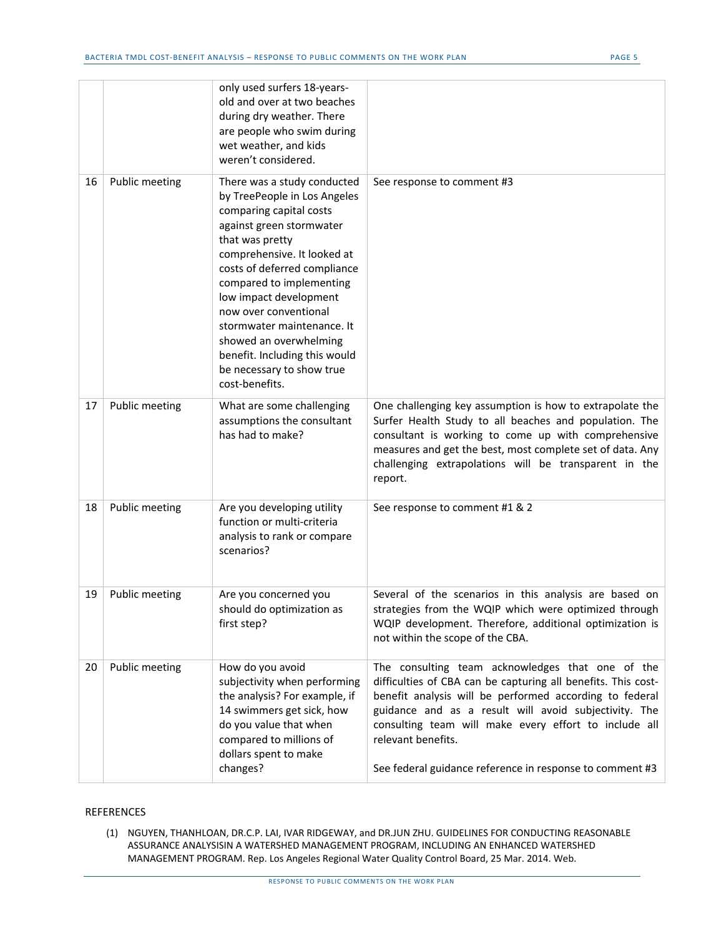|    |                | only used surfers 18-years-<br>old and over at two beaches<br>during dry weather. There<br>are people who swim during<br>wet weather, and kids<br>weren't considered.                                                                                                                                                                                                                                                       |                                                                                                                                                                                                                                                                                                                      |
|----|----------------|-----------------------------------------------------------------------------------------------------------------------------------------------------------------------------------------------------------------------------------------------------------------------------------------------------------------------------------------------------------------------------------------------------------------------------|----------------------------------------------------------------------------------------------------------------------------------------------------------------------------------------------------------------------------------------------------------------------------------------------------------------------|
| 16 | Public meeting | There was a study conducted<br>by TreePeople in Los Angeles<br>comparing capital costs<br>against green stormwater<br>that was pretty<br>comprehensive. It looked at<br>costs of deferred compliance<br>compared to implementing<br>low impact development<br>now over conventional<br>stormwater maintenance. It<br>showed an overwhelming<br>benefit. Including this would<br>be necessary to show true<br>cost-benefits. | See response to comment #3                                                                                                                                                                                                                                                                                           |
| 17 | Public meeting | What are some challenging<br>assumptions the consultant<br>has had to make?                                                                                                                                                                                                                                                                                                                                                 | One challenging key assumption is how to extrapolate the<br>Surfer Health Study to all beaches and population. The<br>consultant is working to come up with comprehensive<br>measures and get the best, most complete set of data. Any<br>challenging extrapolations will be transparent in the<br>report.           |
| 18 | Public meeting | Are you developing utility<br>function or multi-criteria<br>analysis to rank or compare<br>scenarios?                                                                                                                                                                                                                                                                                                                       | See response to comment #1 & 2                                                                                                                                                                                                                                                                                       |
| 19 | Public meeting | Are you concerned you<br>should do optimization as<br>first step?                                                                                                                                                                                                                                                                                                                                                           | Several of the scenarios in this analysis are based on<br>strategies from the WQIP which were optimized through<br>WQIP development. Therefore, additional optimization is<br>not within the scope of the CBA.                                                                                                       |
| 20 | Public meeting | How do you avoid<br>subjectivity when performing<br>the analysis? For example, if<br>14 swimmers get sick, how<br>do you value that when<br>compared to millions of<br>dollars spent to make                                                                                                                                                                                                                                | The consulting team acknowledges that one of the<br>difficulties of CBA can be capturing all benefits. This cost-<br>benefit analysis will be performed according to federal<br>guidance and as a result will avoid subjectivity. The<br>consulting team will make every effort to include all<br>relevant benefits. |
|    |                | changes?                                                                                                                                                                                                                                                                                                                                                                                                                    | See federal guidance reference in response to comment #3                                                                                                                                                                                                                                                             |

## REFERENCES

(1) NGUYEN, THANHLOAN, DR.C.P. LAI, IVAR RIDGEWAY, and DR.JUN ZHU. GUIDELINES FOR CONDUCTING REASONABLE ASSURANCE ANALYSISIN A WATERSHED MANAGEMENT PROGRAM, INCLUDING AN ENHANCED WATERSHED MANAGEMENT PROGRAM. Rep. Los Angeles Regional Water Quality Control Board, 25 Mar. 2014. Web.